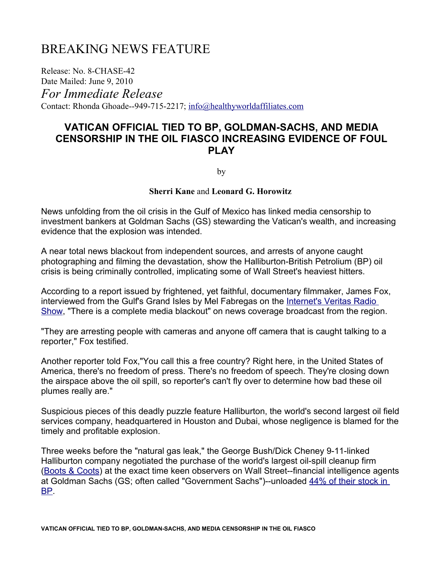## BREAKING NEWS FEATURE

Release: No. 8-CHASE-42 Date Mailed: June 9, 2010

*For Immediate Release*

Contact: Rhonda Ghoade--949-715-2217; [info@healthyworldaffiliates.com](mailto:info@healthyworldaffiliates.com)

## **VATICAN OFFICIAL TIED TO BP, GOLDMAN-SACHS, AND MEDIA CENSORSHIP IN THE OIL FIASCO INCREASING EVIDENCE OF FOUL PLAY**

by

#### **Sherri Kane** and **Leonard G. Horowitz**

News unfolding from the oil crisis in the Gulf of Mexico has linked media censorship to investment bankers at Goldman Sachs (GS) stewarding the Vatican's wealth, and increasing evidence that the explosion was intended.

A near total news blackout from independent sources, and arrests of anyone caught photographing and filming the devastation, show the Halliburton-British Petrolium (BP) oil crisis is being criminally controlled, implicating some of Wall Street's heaviest hitters.

According to a report issued by frightened, yet faithful, documentary filmmaker, James Fox, interviewed from the Gulf's Grand Isles by Mel Fabregas on the [Internet's Veritas Radio](http://www.youtube.com/watch?v=Zwnykdh_lUE) [Show,](http://www.youtube.com/watch?v=Zwnykdh_lUE) "There is a complete media blackout" on news coverage broadcast from the region.

"They are arresting people with cameras and anyone off camera that is caught talking to a reporter," Fox testified.

Another reporter told Fox,"You call this a free country? Right here, in the United States of America, there's no freedom of press. There's no freedom of speech. They're closing down the airspace above the oil spill, so reporter's can't fly over to determine how bad these oil plumes really are."

Suspicious pieces of this deadly puzzle feature Halliburton, the world's second largest oil field services company, headquartered in Houston and Dubai, whose negligence is blamed for the timely and profitable explosion.

Three weeks before the "natural gas leak," the George Bush/Dick Cheney 9-11-linked Halliburton company negotiated the purchase of the world's largest oil-spill cleanup firm [\(Boots & Coots\)](http://www.chron.com/disp/story.mpl/business/6952547.html) at the exact time keen observers on Wall Street--financial intelligence agents at Goldman Sachs (GS; often called "Government Sachs")--unloaded [44% of their stock in](http://www.dailypaul.com/node/136466) [BP.](http://www.dailypaul.com/node/136466)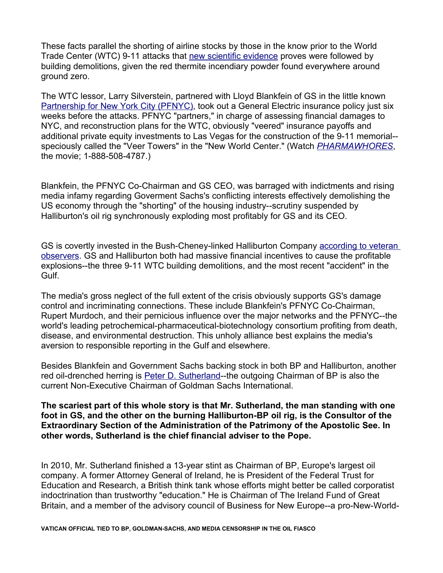These facts parallel the shorting of airline stocks by those in the know prior to the World Trade Center (WTC) 9-11 attacks that [new scientific evidence](http://www.bentham-open.org/pages/content.php?TOCPJ/2009/00000002/00000001/7TOCPJ.SGM) proves were followed by building demolitions, given the red thermite incendiary powder found everywhere around ground zero.

The WTC lessor, Larry Silverstein, partnered with Lloyd Blankfein of GS in the little known [Partnership for New York City \(PFNYC\),](http://www.pfnyc.org/) took out a General Electric insurance policy just six weeks before the attacks. PFNYC "partners," in charge of assessing financial damages to NYC, and reconstruction plans for the WTC, obviously "veered" insurance payoffs and additional private equity investments to Las Vegas for the construction of the 9-11 memorial- speciously called the "Veer Towers" in the "New World Center." (Watch *[PHARMAWHORES](http://www.pharmawhores.com/)*, the movie; 1-888-508-4787.)

Blankfein, the PFNYC Co-Chairman and GS CEO, was barraged with indictments and rising media infamy regarding Goverment Sachs's conflicting interests effectively demolishing the US economy through the "shorting" of the housing industry--scrutiny suspended by Halliburton's oil rig synchronously exploding most profitably for GS and its CEO.

GS is covertly invested in the Bush-Cheney-linked Halliburton Company [according to veteran](http://http//www.centermovement.org/topics-issues/economy/financial-crisis-regulation/is-goldman-sachs-the-new-halliburton-revolving-doors-and-conflicts-of-interest/) [observers.](http://http//www.centermovement.org/topics-issues/economy/financial-crisis-regulation/is-goldman-sachs-the-new-halliburton-revolving-doors-and-conflicts-of-interest/) GS and Halliburton both had massive financial incentives to cause the profitable explosions--the three 9-11 WTC building demolitions, and the most recent "accident" in the Gulf.

The media's gross neglect of the full extent of the crisis obviously supports GS's damage control and incriminating connections. These include Blankfein's PFNYC Co-Chairman, Rupert Murdoch, and their pernicious influence over the major networks and the PFNYC--the world's leading petrochemical-pharmaceutical-biotechnology consortium profiting from death, disease, and environmental destruction. This unholy alliance best explains the media's aversion to responsible reporting in the Gulf and elsewhere.

Besides Blankfein and Government Sachs backing stock in both BP and Halliburton, another red oil-drenched herring is [Peter D. Sutherland-](http://en.wikipedia.org/wiki/Peter_Sutherland)-the outgoing Chairman of BP is also the current Non-Executive Chairman of Goldman Sachs International.

**The scariest part of this whole story is that Mr. Sutherland, the man standing with one foot in GS, and the other on the burning Halliburton-BP oil rig, is the Consultor of the Extraordinary Section of the Administration of the Patrimony of the Apostolic See. In other words, Sutherland is the chief financial adviser to the Pope.**

In 2010, Mr. Sutherland finished a 13-year stint as Chairman of BP, Europe's largest oil company. A former Attorney General of Ireland, he is President of the Federal Trust for Education and Research, a British think tank whose efforts might better be called corporatist indoctrination than trustworthy "education." He is Chairman of The Ireland Fund of Great Britain, and a member of the advisory council of Business for New Europe--a pro-New-World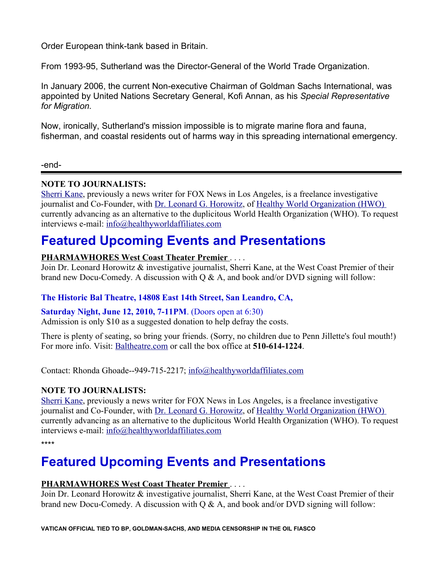Order European think-tank based in Britain.

From 1993-95, Sutherland was the Director-General of the World Trade Organization.

In January 2006, the current Non-executive Chairman of Goldman Sachs International, was appointed by United Nations Secretary General, Kofi Annan, as his *Special Representative for Migration.*

Now, ironically, Sutherland's mission impossible is to migrate marine flora and fauna, fisherman, and coastal residents out of harms way in this spreading international emergency.

-end-

## **NOTE TO JOURNALISTS:**

[Sherri Kane,](http://www.sherrikane.com/) previously a news writer for FOX News in Los Angeles, is a freelance investigative journalist and Co-Founder, with [Dr. Leonard G. Horowitz,](http://www.drlenhorowitz.com/) of [Healthy World Organization \(HWO\)](http://www.healthyworldorganization.org/) currently advancing as an alternative to the duplicitous World Health Organization (WHO). To request interviews e-mail: [info@healthyworldaffiliates.com](mailto:info@healthyworldaffiliates.com)

## **Featured Upcoming Events and Presentations**

## **PHARMAWHORES West Coast Theater Premier** . . . .

Join Dr. Leonard Horowitz & investigative journalist, Sherri Kane, at the West Coast Premier of their brand new Docu-Comedy. A discussion with  $Q \& A$ , and book and/or DVD signing will follow:

## **The Historic Bal Theatre, 14808 East 14th Street, San Leandro, CA,**

#### **Saturday Night, June 12, 2010, 7-11PM**. (Doors open at 6:30)

Admission is only \$10 as a suggested donation to help defray the costs.

There is plenty of seating, so bring your friends. (Sorry, no children due to Penn Jillette's foul mouth!) For more info. Visit: [Baltheatre.com](http://www.baltheatre.com/) or call the box office at **510-614-1224**.

Contact: Rhonda Ghoade--949-715-2217; [info@healthyworldaffiliates.com](mailto:info@healthyworldaffiliates.com)

## **NOTE TO JOURNALISTS:**

[Sherri Kane,](http://www.sherrikane.com/) previously a news writer for FOX News in Los Angeles, is a freelance investigative journalist and Co-Founder, with [Dr. Leonard G. Horowitz,](http://www.drlenhorowitz.com/) of [Healthy World Organization \(HWO\)](http://www.healthyworldorganization.org/) currently advancing as an alternative to the duplicitous World Health Organization (WHO). To request interviews e-mail: [info@healthyworldaffiliates.com](mailto:info@healthyworldaffiliates.com)

\*\*\*\*

# **Featured Upcoming Events and Presentations**

## **PHARMAWHORES West Coast Theater Premier** . . . .

Join Dr. Leonard Horowitz & investigative journalist, Sherri Kane, at the West Coast Premier of their brand new Docu-Comedy. A discussion with  $\overline{O} \& A$ , and book and/or DVD signing will follow:

**VATICAN OFFICIAL TIED TO BP, GOLDMAN-SACHS, AND MEDIA CENSORSHIP IN THE OIL FIASCO**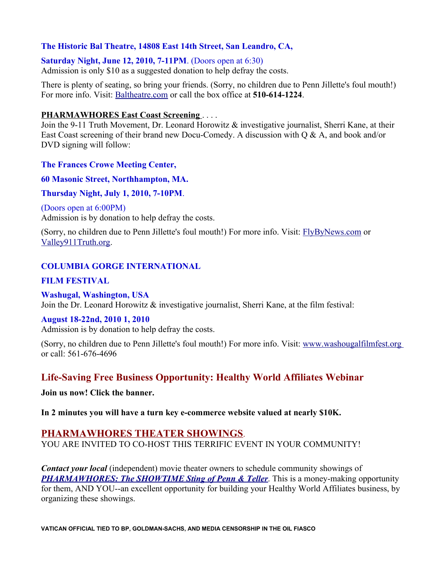### **The Historic Bal Theatre, 14808 East 14th Street, San Leandro, CA,**

**Saturday Night, June 12, 2010, 7-11PM**. (Doors open at 6:30)

Admission is only \$10 as a suggested donation to help defray the costs.

There is plenty of seating, so bring your friends. (Sorry, no children due to Penn Jillette's foul mouth!) For more info. Visit: [Baltheatre.com](http://www.baltheatre.com/) or call the box office at **510-614-1224**.

#### **PHARMAWHORES East Coast Screening** . . . .

Join the 9-11 Truth Movement, Dr. Leonard Horowitz & investigative journalist, Sherri Kane, at their East Coast screening of their brand new Docu-Comedy. A discussion with Q & A, and book and/or DVD signing will follow:

**The Frances Crowe Meeting Center,**

**60 Masonic Street, Northhampton, MA.** 

#### **Thursday Night, July 1, 2010, 7-10PM**.

(Doors open at 6:00PM) Admission is by donation to help defray the costs.

(Sorry, no children due to Penn Jillette's foul mouth!) For more info. Visit: [FlyByNews.com](http://www.flybynews.com/) or [Valley911Truth.org.](http://www.valley911truth.org/)

## **COLUMBIA GORGE INTERNATIONAL**

### **FILM FESTIVAL**

#### **Washugal, Washington, USA**

Join the Dr. Leonard Horowitz & investigative journalist, Sherri Kane, at the film festival:

#### **August 18-22nd, 2010 1, 2010**

Admission is by donation to help defray the costs.

(Sorry, no children due to Penn Jillette's foul mouth!) For more info. Visit: [www.washougalfilmfest.org](http://www.washougalfilmfest.org/) or call: 561-676-4696

## **Life-Saving Free Business Opportunity: Healthy World Affiliates Webinar**

**Join us now! Click the banner.** 

**In 2 minutes you will have a turn key e-commerce website valued at nearly \$10K.**

## **PHARMAWHORES THEATER SHOWINGS**.

YOU ARE INVITED TO CO-HOST THIS TERRIFIC EVENT IN YOUR COMMUNITY!

*Contact your local* (independent) movie theater owners to schedule community showings of *[PHARMAWHORES: The SHOWTIME Sting of Penn & Teller](http://www.pharmawhores.com/)*. This is a money-making opportunity for them, AND YOU--an excellent opportunity for building your Healthy World Affiliates business, by organizing these showings.

**VATICAN OFFICIAL TIED TO BP, GOLDMAN-SACHS, AND MEDIA CENSORSHIP IN THE OIL FIASCO**